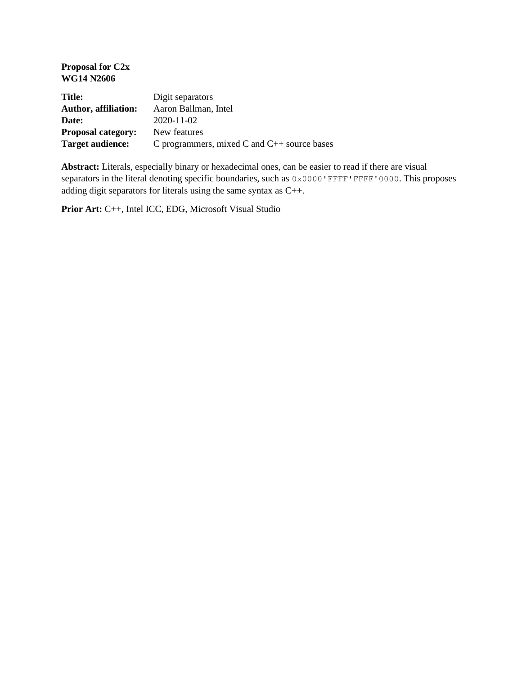| <b>Proposal for C2x</b><br><b>WG14 N2606</b> |                                                  |
|----------------------------------------------|--------------------------------------------------|
| <b>Title:</b>                                | Digit separators                                 |
| <b>Author, affiliation:</b>                  | Aaron Ballman, Intel                             |
| Date:                                        | $2020 - 11 - 02$                                 |
| <b>Proposal category:</b>                    | New features                                     |
| Target audience:                             | C programmers, mixed C and $C_{++}$ source bases |

**Abstract:** Literals, especially binary or hexadecimal ones, can be easier to read if there are visual separators in the literal denoting specific boundaries, such as  $0 \times 0000$  'FFFF'FFFF'0000. This proposes adding digit separators for literals using the same syntax as C++.

**Prior Art:** C++, Intel ICC, EDG, Microsoft Visual Studio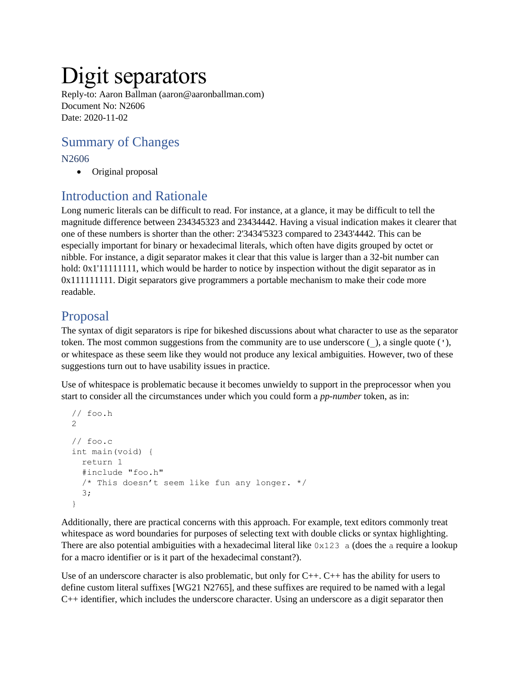# Digit separators

Reply-to: Aaron Ballman (aaron@aaronballman.com) Document No: N2606 Date: 2020-11-02

# Summary of Changes

#### N2606

• Original proposal

## Introduction and Rationale

Long numeric literals can be difficult to read. For instance, at a glance, it may be difficult to tell the magnitude difference between 234345323 and 23434442. Having a visual indication makes it clearer that one of these numbers is shorter than the other: 2'3434'5323 compared to 2343'4442. This can be especially important for binary or hexadecimal literals, which often have digits grouped by octet or nibble. For instance, a digit separator makes it clear that this value is larger than a 32-bit number can hold:  $0x1'1111111$ , which would be harder to notice by inspection without the digit separator as in 0x111111111. Digit separators give programmers a portable mechanism to make their code more readable.

#### Proposal

The syntax of digit separators is ripe for bikeshed discussions about what character to use as the separator token. The most common suggestions from the community are to use underscore (\_), a single quote ('), or whitespace as these seem like they would not produce any lexical ambiguities. However, two of these suggestions turn out to have usability issues in practice.

Use of whitespace is problematic because it becomes unwieldy to support in the preprocessor when you start to consider all the circumstances under which you could form a *pp-number* token, as in:

```
 // foo.h
2
// foo.c
int main(void) {
  return 1
  #include "foo.h"
 /* This doesn't seem like fun any longer. */ 3;
}
```
Additionally, there are practical concerns with this approach. For example, text editors commonly treat whitespace as word boundaries for purposes of selecting text with double clicks or syntax highlighting. There are also potential ambiguities with a hexadecimal literal like  $0 \times 123$  a (does the a require a lookup for a macro identifier or is it part of the hexadecimal constant?).

Use of an underscore character is also problematic, but only for C++. C++ has the ability for users to define custom literal suffixes [WG21 N2765], and these suffixes are required to be named with a legal C++ identifier, which includes the underscore character. Using an underscore as a digit separator then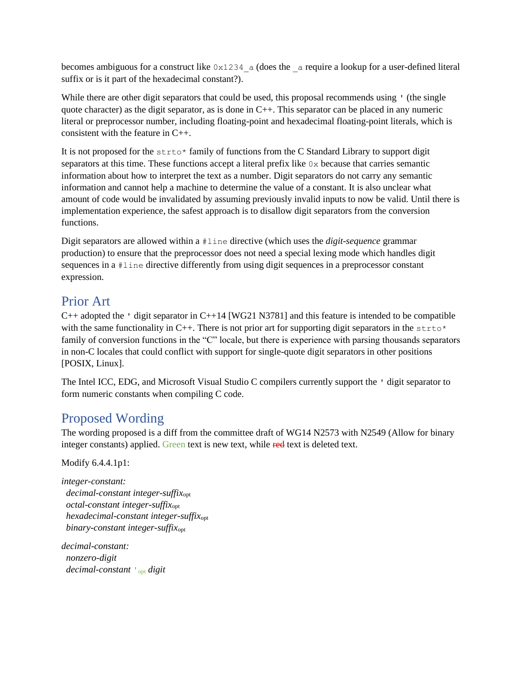becomes ambiguous for a construct like  $0 \times 1234$  a (does the a require a lookup for a user-defined literal suffix or is it part of the hexadecimal constant?).

While there are other digit separators that could be used, this proposal recommends using ' (the single quote character) as the digit separator, as is done in C++. This separator can be placed in any numeric literal or preprocessor number, including floating-point and hexadecimal floating-point literals, which is consistent with the feature in C++.

It is not proposed for the  $strot \sim$  family of functions from the C Standard Library to support digit separators at this time. These functions accept a literal prefix like  $0x$  because that carries semantic information about how to interpret the text as a number. Digit separators do not carry any semantic information and cannot help a machine to determine the value of a constant. It is also unclear what amount of code would be invalidated by assuming previously invalid inputs to now be valid. Until there is implementation experience, the safest approach is to disallow digit separators from the conversion functions.

Digit separators are allowed within a #line directive (which uses the *digit-sequence* grammar production) to ensure that the preprocessor does not need a special lexing mode which handles digit sequences in a #line directive differently from using digit sequences in a preprocessor constant expression.

### Prior Art

 $C_{++}$  adopted the ' digit separator in  $C_{++}$ 14 [WG21 N3781] and this feature is intended to be compatible with the same functionality in C++. There is not prior art for supporting digit separators in the  $strot \sim$ family of conversion functions in the "C" locale, but there is experience with parsing thousands separators in non-C locales that could conflict with support for single-quote digit separators in other positions [POSIX, Linux].

The Intel ICC, EDG, and Microsoft Visual Studio C compilers currently support the ' digit separator to form numeric constants when compiling C code.

### Proposed Wording

The wording proposed is a diff from the committee draft of WG14 N2573 with N2549 (Allow for binary integer constants) applied. Green text is new text, while red text is deleted text.

Modify 6.4.4.1p1:

*integer-constant: decimal-constant integer-suffix*opt  *octal-constant integer-suffix*opt  *hexadecimal-constant integer-suffix*opt  *binary-constant integer-suffix*opt

*decimal-constant: nonzero-digit decimal-constant* **'**opt *digit*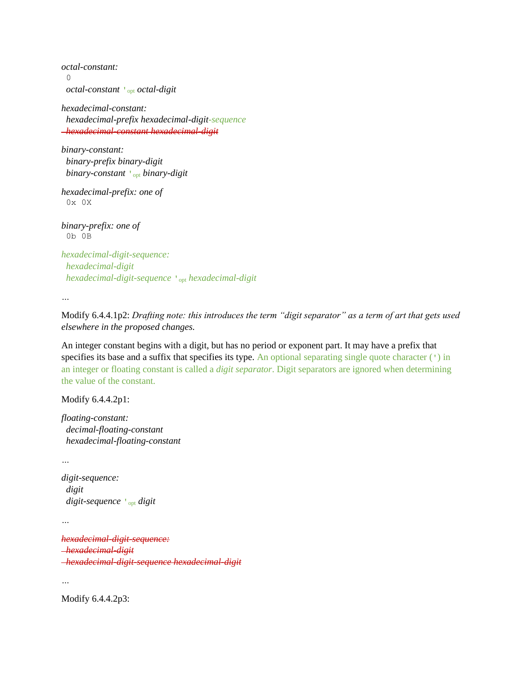*octal-constant:* 0  *octal-constant* **'**opt *octal-digit*

*hexadecimal-constant: hexadecimal-prefix hexadecimal-digit-sequence hexadecimal-constant hexadecimal-digit*

*binary-constant: binary-prefix binary-digit binary-constant* **'**opt *binary-digit*

*hexadecimal-prefix: one of* 0x 0X

*binary-prefix: one of* 0b 0B

*hexadecimal-digit-sequence: hexadecimal-digit hexadecimal-digit-sequence* **'**opt *hexadecimal-digit*

*…*

Modify 6.4.4.1p2: *Drafting note: this introduces the term "digit separator" as a term of art that gets used elsewhere in the proposed changes.*

An integer constant begins with a digit, but has no period or exponent part. It may have a prefix that specifies its base and a suffix that specifies its type. An optional separating single quote character (') in an integer or floating constant is called a *digit separator*. Digit separators are ignored when determining the value of the constant.

Modify 6.4.4.2p1:

*floating-constant: decimal-floating-constant hexadecimal-floating-constant*

```
…
```
*digit-sequence: digit digit-sequence* **'**opt *digit*

*…*

*hexadecimal-digit-sequence: hexadecimal-digit hexadecimal-digit-sequence hexadecimal-digit*

*…*

Modify 6.4.4.2p3: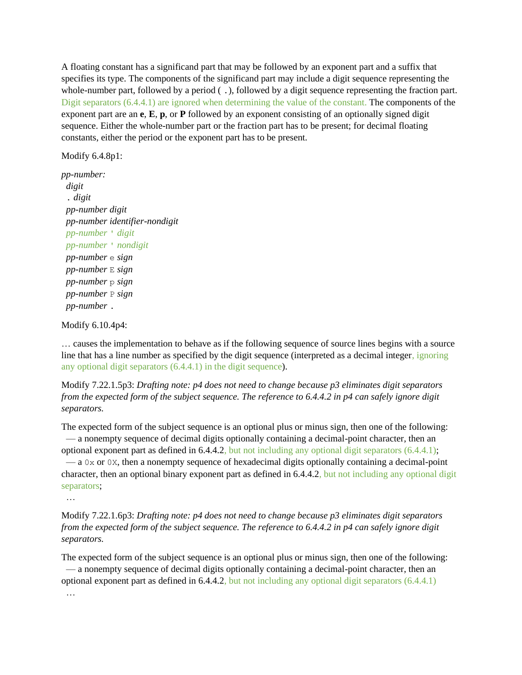A floating constant has a significand part that may be followed by an exponent part and a suffix that specifies its type. The components of the significand part may include a digit sequence representing the whole-number part, followed by a period  $( \cdot )$ , followed by a digit sequence representing the fraction part. Digit separators (6.4.4.1) are ignored when determining the value of the constant. The components of the exponent part are an **e**, **E**, **p**, or **P** followed by an exponent consisting of an optionally signed digit sequence. Either the whole-number part or the fraction part has to be present; for decimal floating constants, either the period or the exponent part has to be present.

#### Modify 6.4.8p1:

*pp-number: digit* . *digit pp-number digit pp-number identifier-nondigit pp-number* ' *digit pp-number* ' *nondigit pp-number* e *sign pp-number* E *sign pp-number* p *sign pp-number* P *sign pp-number* .

Modify 6.10.4p4:

… causes the implementation to behave as if the following sequence of source lines begins with a source line that has a line number as specified by the digit sequence (interpreted as a decimal integer, ignoring any optional digit separators (6.4.4.1) in the digit sequence).

Modify 7.22.1.5p3: *Drafting note: p4 does not need to change because p3 eliminates digit separators from the expected form of the subject sequence. The reference to 6.4.4.2 in p4 can safely ignore digit separators.*

The expected form of the subject sequence is an optional plus or minus sign, then one of the following: — a nonempty sequence of decimal digits optionally containing a decimal-point character, then an optional exponent part as defined in 6.4.4.2, but not including any optional digit separators (6.4.4.1); — a 0x or 0X, then a nonempty sequence of hexadecimal digits optionally containing a decimal-point character, then an optional binary exponent part as defined in 6.4.4.2, but not including any optional digit separators;

…

Modify 7.22.1.6p3: *Drafting note: p4 does not need to change because p3 eliminates digit separators from the expected form of the subject sequence. The reference to 6.4.4.2 in p4 can safely ignore digit separators.*

The expected form of the subject sequence is an optional plus or minus sign, then one of the following: — a nonempty sequence of decimal digits optionally containing a decimal-point character, then an optional exponent part as defined in 6.4.4.2, but not including any optional digit separators (6.4.4.1)

…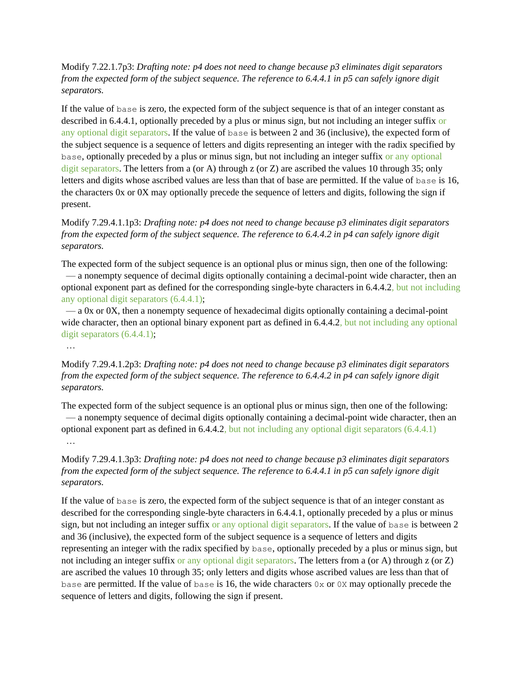Modify 7.22.1.7p3: *Drafting note: p4 does not need to change because p3 eliminates digit separators from the expected form of the subject sequence. The reference to 6.4.4.1 in p5 can safely ignore digit separators.*

If the value of base is zero, the expected form of the subject sequence is that of an integer constant as described in 6.4.4.1, optionally preceded by a plus or minus sign, but not including an integer suffix or any optional digit separators. If the value of base is between 2 and 36 (inclusive), the expected form of the subject sequence is a sequence of letters and digits representing an integer with the radix specified by base, optionally preceded by a plus or minus sign, but not including an integer suffix or any optional digit separators. The letters from a (or A) through z (or Z) are ascribed the values 10 through 35; only letters and digits whose ascribed values are less than that of base are permitted. If the value of base is 16, the characters 0x or 0X may optionally precede the sequence of letters and digits, following the sign if present.

Modify 7.29.4.1.1p3: *Drafting note: p4 does not need to change because p3 eliminates digit separators from the expected form of the subject sequence. The reference to 6.4.4.2 in p4 can safely ignore digit separators.*

The expected form of the subject sequence is an optional plus or minus sign, then one of the following: — a nonempty sequence of decimal digits optionally containing a decimal-point wide character, then an optional exponent part as defined for the corresponding single-byte characters in 6.4.4.2, but not including any optional digit separators (6.4.4.1);

 — a 0x or 0X, then a nonempty sequence of hexadecimal digits optionally containing a decimal-point wide character, then an optional binary exponent part as defined in 6.4.4.2, but not including any optional digit separators (6.4.4.1);

…

Modify 7.29.4.1.2p3: *Drafting note: p4 does not need to change because p3 eliminates digit separators from the expected form of the subject sequence. The reference to 6.4.4.2 in p4 can safely ignore digit separators.*

The expected form of the subject sequence is an optional plus or minus sign, then one of the following: — a nonempty sequence of decimal digits optionally containing a decimal-point wide character, then an optional exponent part as defined in 6.4.4.2, but not including any optional digit separators (6.4.4.1) …

Modify 7.29.4.1.3p3: *Drafting note: p4 does not need to change because p3 eliminates digit separators from the expected form of the subject sequence. The reference to 6.4.4.1 in p5 can safely ignore digit separators.*

If the value of base is zero, the expected form of the subject sequence is that of an integer constant as described for the corresponding single-byte characters in 6.4.4.1, optionally preceded by a plus or minus sign, but not including an integer suffix or any optional digit separators. If the value of base is between 2 and 36 (inclusive), the expected form of the subject sequence is a sequence of letters and digits representing an integer with the radix specified by base, optionally preceded by a plus or minus sign, but not including an integer suffix or any optional digit separators. The letters from a (or A) through z (or Z) are ascribed the values 10 through 35; only letters and digits whose ascribed values are less than that of base are permitted. If the value of base is 16, the wide characters  $0 \times$  or 0X may optionally precede the sequence of letters and digits, following the sign if present.